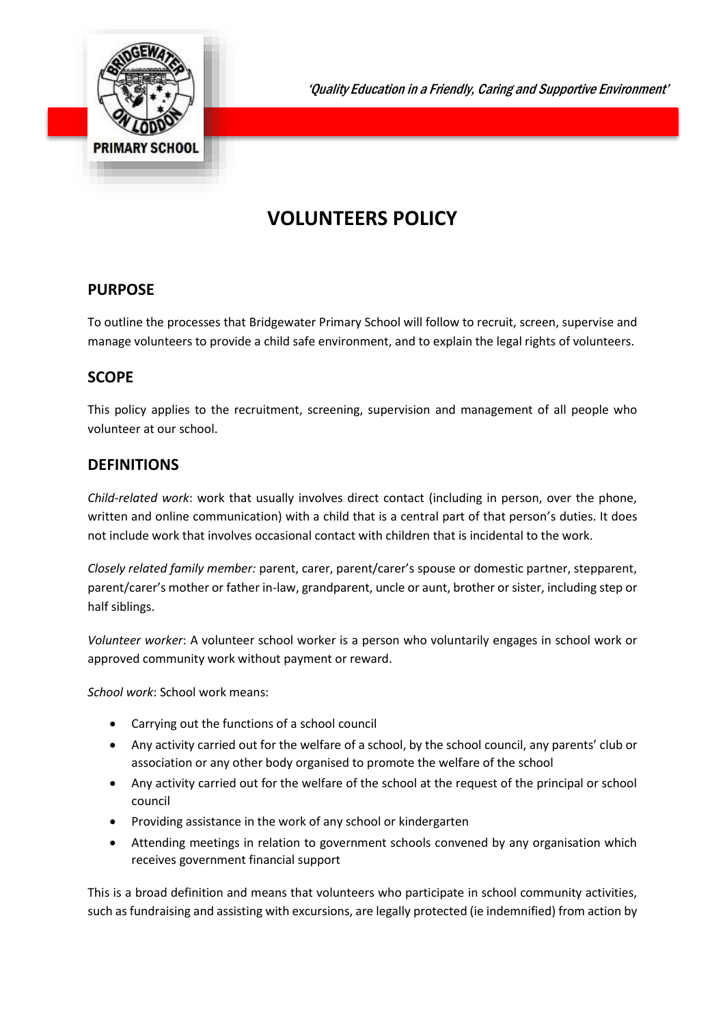

'Quality Education in a Friendly, Caring and Supportive Environment'

# **VOLUNTEERS POLICY**

# **PURPOSE**

To outline the processes that Bridgewater Primary School will follow to recruit, screen, supervise and manage volunteers to provide a child safe environment, and to explain the legal rights of volunteers.

# **SCOPE**

This policy applies to the recruitment, screening, supervision and management of all people who volunteer at our school.

# **DEFINITIONS**

*Child-related work*: work that usually involves direct contact (including in person, over the phone, written and online communication) with a child that is a central part of that person's duties. It does not include work that involves occasional contact with children that is incidental to the work.

*Closely related family member:* parent, carer, parent/carer's spouse or domestic partner, stepparent, parent/carer's mother or father in-law, grandparent, uncle or aunt, brother or sister, including step or half siblings.

*Volunteer worker*: A volunteer school worker is a person who voluntarily engages in school work or approved community work without payment or reward.

*School work*: School work means:

- Carrying out the functions of a school council
- Any activity carried out for the welfare of a school, by the school council, any parents' club or association or any other body organised to promote the welfare of the school
- Any activity carried out for the welfare of the school at the request of the principal or school council
- Providing assistance in the work of any school or kindergarten
- Attending meetings in relation to government schools convened by any organisation which receives government financial support

This is a broad definition and means that volunteers who participate in school community activities, such as fundraising and assisting with excursions, are legally protected (ie indemnified) from action by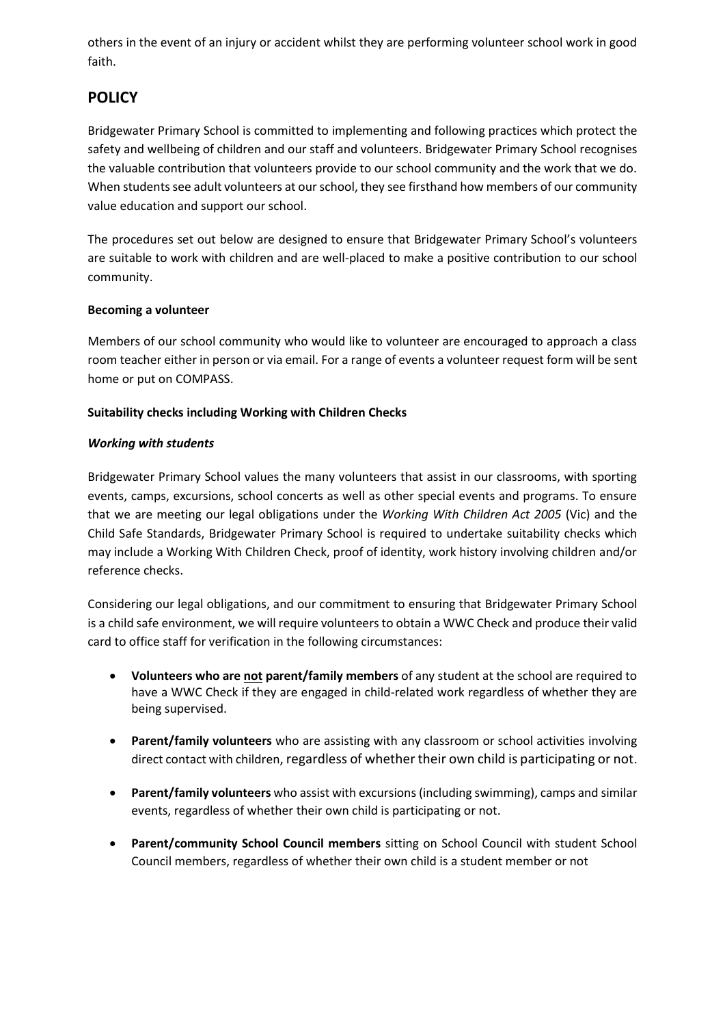others in the event of an injury or accident whilst they are performing volunteer school work in good faith.

# **POLICY**

Bridgewater Primary School is committed to implementing and following practices which protect the safety and wellbeing of children and our staff and volunteers. Bridgewater Primary School recognises the valuable contribution that volunteers provide to our school community and the work that we do. When students see adult volunteers at our school, they see firsthand how members of our community value education and support our school.

The procedures set out below are designed to ensure that Bridgewater Primary School's volunteers are suitable to work with children and are well-placed to make a positive contribution to our school community.

#### **Becoming a volunteer**

Members of our school community who would like to volunteer are encouraged to approach a class room teacher either in person or via email. For a range of events a volunteer request form will be sent home or put on COMPASS.

#### **Suitability checks including Working with Children Checks**

#### *Working with students*

Bridgewater Primary School values the many volunteers that assist in our classrooms, with sporting events, camps, excursions, school concerts as well as other special events and programs. To ensure that we are meeting our legal obligations under the *Working With Children Act 2005* (Vic) and the Child Safe Standards, Bridgewater Primary School is required to undertake suitability checks which may include a Working With Children Check, proof of identity, work history involving children and/or reference checks.

Considering our legal obligations, and our commitment to ensuring that Bridgewater Primary School is a child safe environment, we will require volunteers to obtain a WWC Check and produce their valid card to office staff for verification in the following circumstances:

- **Volunteers who are not parent/family members** of any student at the school are required to have a WWC Check if they are engaged in child-related work regardless of whether they are being supervised.
- **•** Parent/family volunteers who are assisting with any classroom or school activities involving direct contact with children, regardless of whether their own child is participating or not.
- **Parent/family volunteers** who assist with excursions (including swimming), camps and similar events, regardless of whether their own child is participating or not.
- **Parent/community School Council members** sitting on School Council with student School Council members, regardless of whether their own child is a student member or not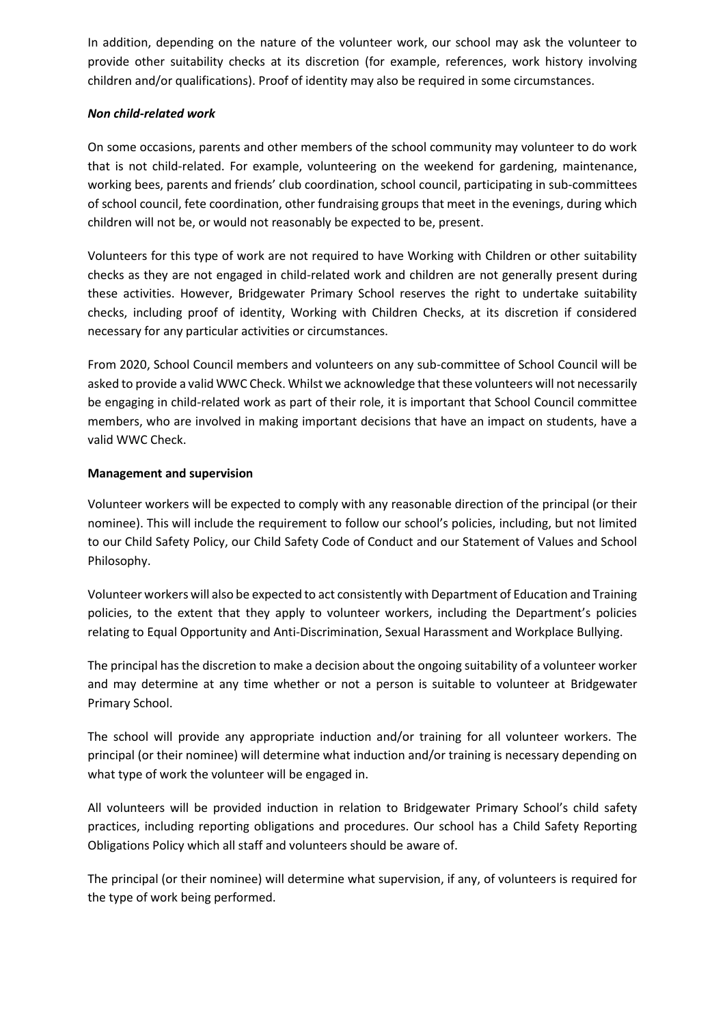In addition, depending on the nature of the volunteer work, our school may ask the volunteer to provide other suitability checks at its discretion (for example, references, work history involving children and/or qualifications). Proof of identity may also be required in some circumstances.

#### *Non child-related work*

On some occasions, parents and other members of the school community may volunteer to do work that is not child-related. For example, volunteering on the weekend for gardening, maintenance, working bees, parents and friends' club coordination, school council, participating in sub-committees of school council, fete coordination, other fundraising groups that meet in the evenings, during which children will not be, or would not reasonably be expected to be, present.

Volunteers for this type of work are not required to have Working with Children or other suitability checks as they are not engaged in child-related work and children are not generally present during these activities. However, Bridgewater Primary School reserves the right to undertake suitability checks, including proof of identity, Working with Children Checks, at its discretion if considered necessary for any particular activities or circumstances.

From 2020, School Council members and volunteers on any sub-committee of School Council will be asked to provide a valid WWC Check. Whilst we acknowledge that these volunteers will not necessarily be engaging in child-related work as part of their role, it is important that School Council committee members, who are involved in making important decisions that have an impact on students, have a valid WWC Check.

#### **Management and supervision**

Volunteer workers will be expected to comply with any reasonable direction of the principal (or their nominee). This will include the requirement to follow our school's policies, including, but not limited to our Child Safety Policy, our Child Safety Code of Conduct and our Statement of Values and School Philosophy.

Volunteer workers will also be expected to act consistently with Department of Education and Training policies, to the extent that they apply to volunteer workers, including the Department's policies relating to Equal Opportunity and Anti-Discrimination, Sexual Harassment and Workplace Bullying.

The principal has the discretion to make a decision about the ongoing suitability of a volunteer worker and may determine at any time whether or not a person is suitable to volunteer at Bridgewater Primary School.

The school will provide any appropriate induction and/or training for all volunteer workers. The principal (or their nominee) will determine what induction and/or training is necessary depending on what type of work the volunteer will be engaged in.

All volunteers will be provided induction in relation to Bridgewater Primary School's child safety practices, including reporting obligations and procedures. Our school has a Child Safety Reporting Obligations Policy which all staff and volunteers should be aware of.

The principal (or their nominee) will determine what supervision, if any, of volunteers is required for the type of work being performed.